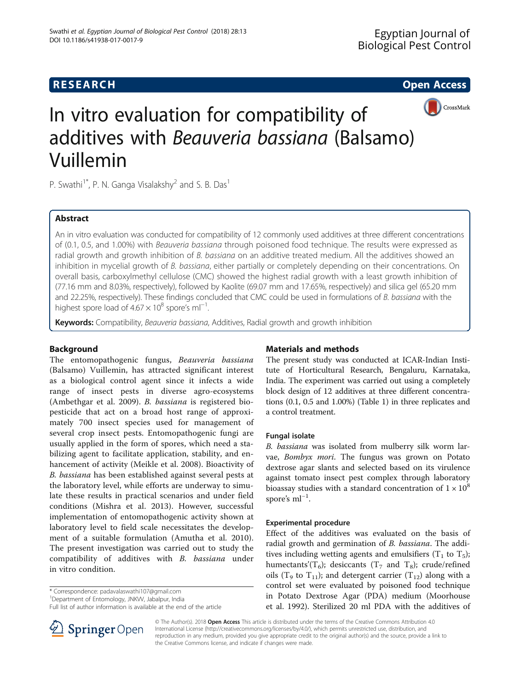## **RESEARCH CHEAR CHEAR CHEAR CHEAR CHEAR CHEAR CHEAR CHEAR CHEAR CHEAR CHEAR CHEAR CHEAR CHEAR CHEAR CHEAR CHEAR**



# In vitro evaluation for compatibility of additives with Beauveria bassiana (Balsamo) Vuillemin

P. Swathi<sup>1\*</sup>, P. N. Ganga Visalakshy<sup>2</sup> and S. B. Das<sup>1</sup>

### Abstract

An in vitro evaluation was conducted for compatibility of 12 commonly used additives at three different concentrations of (0.1, 0.5, and 1.00%) with Beauveria bassiana through poisoned food technique. The results were expressed as radial growth and growth inhibition of B. bassiana on an additive treated medium. All the additives showed an inhibition in mycelial growth of B. bassiana, either partially or completely depending on their concentrations. On overall basis, carboxylmethyl cellulose (CMC) showed the highest radial growth with a least growth inhibition of (77.16 mm and 8.03%, respectively), followed by Kaolite (69.07 mm and 17.65%, respectively) and silica gel (65.20 mm and 22.25%, respectively). These findings concluded that CMC could be used in formulations of B. bassiana with the highest spore load of  $4.67 \times 10^8$  spore's ml<sup>-1</sup>. .

Keywords: Compatibility, Beauveria bassiana, Additives, Radial growth and growth inhibition

#### Background

The entomopathogenic fungus, Beauveria bassiana (Balsamo) Vuillemin, has attracted significant interest as a biological control agent since it infects a wide range of insect pests in diverse agro-ecosystems (Ambethgar et al. [2009\)](#page-4-0). B. bassiana is registered biopesticide that act on a broad host range of approximately 700 insect species used for management of several crop insect pests. Entomopathogenic fungi are usually applied in the form of spores, which need a stabilizing agent to facilitate application, stability, and enhancement of activity (Meikle et al. [2008](#page-4-0)). Bioactivity of B. bassiana has been established against several pests at the laboratory level, while efforts are underway to simulate these results in practical scenarios and under field conditions (Mishra et al. [2013](#page-4-0)). However, successful implementation of entomopathogenic activity shown at laboratory level to field scale necessitates the development of a suitable formulation (Amutha et al. [2010](#page-4-0)). The present investigation was carried out to study the compatibility of additives with B. bassiana under in vitro condition.

\* Correspondence: [padavalaswathi107@gmail.com](mailto:padavalaswathi107@gmail.com) <sup>1</sup>

<sup>1</sup>Department of Entomology, JNKW, Jabalpur, India

Full list of author information is available at the end of the article



The present study was conducted at ICAR-Indian Institute of Horticultural Research, Bengaluru, Karnataka, India. The experiment was carried out using a completely block design of 12 additives at three different concentrations (0.1, 0.5 and 1.00%) (Table [1](#page-1-0)) in three replicates and a control treatment.

#### Fungal isolate

B. bassiana was isolated from mulberry silk worm larvae, Bombyx mori. The fungus was grown on Potato dextrose agar slants and selected based on its virulence against tomato insect pest complex through laboratory bioassay studies with a standard concentration of  $1 \times 10^8$ spore's ml<sup>-1</sup>.

#### Experimental procedure

Effect of the additives was evaluated on the basis of radial growth and germination of B. bassiana. The additives including wetting agents and emulsifiers ( $T_1$  to  $T_5$ ); humectants'( $T_6$ ); desiccants ( $T_7$  and  $T_8$ ); crude/refined oils (T<sub>9</sub> to T<sub>11</sub>); and detergent carrier (T<sub>12</sub>) along with a control set were evaluated by poisoned food technique in Potato Dextrose Agar (PDA) medium (Moorhouse et al. [1992](#page-4-0)). Sterilized 20 ml PDA with the additives of



© The Author(s). 2018 Open Access This article is distributed under the terms of the Creative Commons Attribution 4.0 International License ([http://creativecommons.org/licenses/by/4.0/\)](http://creativecommons.org/licenses/by/4.0/), which permits unrestricted use, distribution, and reproduction in any medium, provided you give appropriate credit to the original author(s) and the source, provide a link to the Creative Commons license, and indicate if changes were made.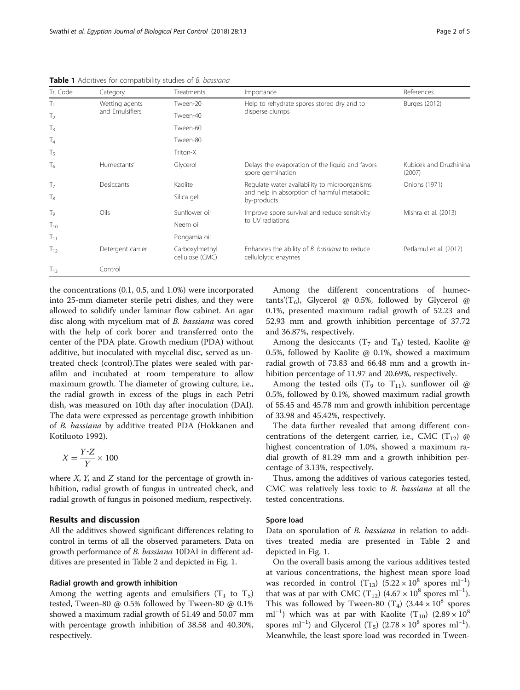| Tr. Code         | Category          | Treatments                        | Importance                                                            | References                       |
|------------------|-------------------|-----------------------------------|-----------------------------------------------------------------------|----------------------------------|
| $T_1$            | Wetting agents    | Tween-20                          | Help to rehydrate spores stored dry and to                            | Burges (2012)                    |
| T <sub>2</sub>   | and Emulsifiers   | Tween-40                          | disperse clumps                                                       |                                  |
| $T_3$            |                   | Tween-60                          |                                                                       |                                  |
| T <sub>4</sub>   |                   | Tween-80                          |                                                                       |                                  |
| $\mathsf{T}_5$   |                   | Triton-X                          |                                                                       |                                  |
| $T_6$            | Humectants'       | Glycerol                          | Delays the evaporation of the liquid and favors<br>spore germination  | Kubicek and Druzhinina<br>(2007) |
| T <sub>7</sub>   | Desiccants        | Kaolite                           | Regulate water availability to microorganisms                         | Onions (1971)                    |
| $T_8$            |                   | Silica gel                        | and help in absorption of harmful metabolic<br>by-products            |                                  |
| $\mathsf{T}_{9}$ | Oils              | Sunflower oil                     | Improve spore survival and reduce sensitivity                         | Mishra et al. (2013)             |
| $T_{10}$         |                   | Neem oil                          | to UV radiations                                                      |                                  |
| $T_{11}$         |                   | Pongamia oil                      |                                                                       |                                  |
| $T_{12}$         | Detergent carrier | Carboxylmethyl<br>cellulose (CMC) | Enhances the ability of B. bassiana to reduce<br>cellulolytic enzymes | Petlamul et al. (2017)           |
| $T_{13}$         | Control           |                                   |                                                                       |                                  |

<span id="page-1-0"></span>Table 1 Additives for compatibility studies of B. bassiana

the concentrations (0.1, 0.5, and 1.0%) were incorporated into 25-mm diameter sterile petri dishes, and they were allowed to solidify under laminar flow cabinet. An agar disc along with mycelium mat of B. bassiana was cored with the help of cork borer and transferred onto the center of the PDA plate. Growth medium (PDA) without additive, but inoculated with mycelial disc, served as untreated check (control).The plates were sealed with parafilm and incubated at room temperature to allow maximum growth. The diameter of growing culture, i.e., the radial growth in excess of the plugs in each Petri dish, was measured on 10th day after inoculation (DAI). The data were expressed as percentage growth inhibition of B. bassiana by additive treated PDA (Hokkanen and Kotiluoto [1992\)](#page-4-0).

$$
X = \frac{Y \cdot Z}{Y} \times 100
$$

where  $X$ ,  $Y$ , and  $Z$  stand for the percentage of growth inhibition, radial growth of fungus in untreated check, and radial growth of fungus in poisoned medium, respectively.

#### Results and discussion

All the additives showed significant differences relating to control in terms of all the observed parameters. Data on growth performance of *B. bassiana* 10DAI in different additives are presented in Table [2](#page-2-0) and depicted in Fig. [1](#page-3-0).

#### Radial growth and growth inhibition

Among the wetting agents and emulsifiers  $(T_1$  to  $T_5)$ tested, Tween-80 @ 0.5% followed by Tween-80 @ 0.1% showed a maximum radial growth of 51.49 and 50.07 mm with percentage growth inhibition of 38.58 and 40.30%, respectively.

Among the different concentrations of humectants'( $T_6$ ), Glycerol @ 0.5%, followed by Glycerol @ 0.1%, presented maximum radial growth of 52.23 and 52.93 mm and growth inhibition percentage of 37.72 and 36.87%, respectively.

Among the desiccants ( $T<sub>7</sub>$  and  $T<sub>8</sub>$ ) tested, Kaolite @ 0.5%, followed by Kaolite @ 0.1%, showed a maximum radial growth of 73.83 and 66.48 mm and a growth inhibition percentage of 11.97 and 20.69%, respectively.

Among the tested oils (T<sub>9</sub> to T<sub>11</sub>), sunflower oil @ 0.5%, followed by 0.1%, showed maximum radial growth of 55.45 and 45.78 mm and growth inhibition percentage of 33.98 and 45.42%, respectively.

The data further revealed that among different concentrations of the detergent carrier, i.e., CMC  $(T_{12})$  @ highest concentration of 1.0%, showed a maximum radial growth of 81.29 mm and a growth inhibition percentage of 3.13%, respectively.

Thus, among the additives of various categories tested, CMC was relatively less toxic to B. bassiana at all the tested concentrations.

#### Spore load

Data on sporulation of *B. bassiana* in relation to additives treated media are presented in Table [2](#page-2-0) and depicted in Fig. [1.](#page-3-0)

On the overall basis among the various additives tested at various concentrations, the highest mean spore load was recorded in control (T<sub>13</sub>) (5.22 × 10<sup>8</sup> spores ml<sup>-1</sup>) that was at par with CMC (T<sub>12</sub>) (4.67 × 10<sup>8</sup> spores ml<sup>-1</sup>). This was followed by Tween-80 (T<sub>4</sub>) (3.44  $\times$  10<sup>8</sup> spores ml<sup>-1</sup>) which was at par with Kaolite (T<sub>10</sub>) (2.89 × 10<sup>8</sup>) spores ml<sup>-1</sup>) and Glycerol (T<sub>5</sub>) (2.78 × 10<sup>8</sup> spores ml<sup>-1</sup>). Meanwhile, the least spore load was recorded in Tween-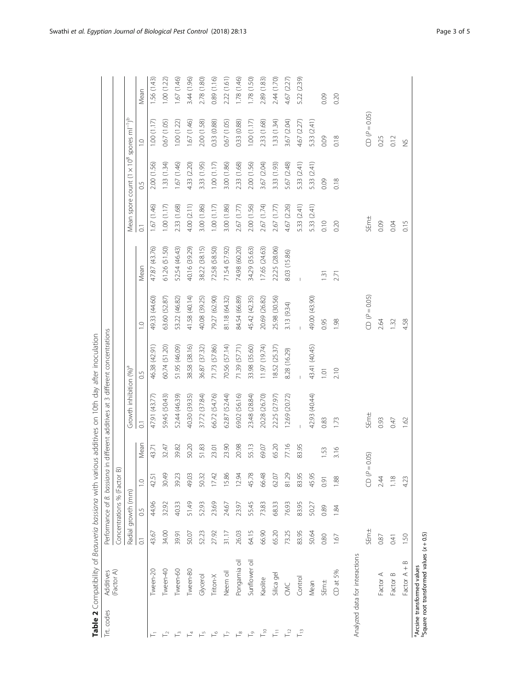<span id="page-2-0"></span>

| Trt. codes                     | Additives                                                                                |                |                             | Performance of B. bassiana in |       | different additives at 3 different concentrations |                |                 |                |                    |                                                                              |                |             |
|--------------------------------|------------------------------------------------------------------------------------------|----------------|-----------------------------|-------------------------------|-------|---------------------------------------------------|----------------|-----------------|----------------|--------------------|------------------------------------------------------------------------------|----------------|-------------|
|                                | (Factor A)                                                                               |                | Concentrations % (Factor B) |                               |       |                                                   |                |                 |                |                    |                                                                              |                |             |
|                                |                                                                                          |                | Radial growth (mm)          |                               |       | Growth inhibition (%) <sup>ª</sup>                |                |                 |                |                    | Mean spore count (1 x 10 <sup>8</sup> spores ml <sup>-1</sup> ) <sup>b</sup> |                |             |
|                                |                                                                                          | $\overline{C}$ | 0.5                         | $\supseteq$                   | Mean  | $\overline{\circ}$                                | 0.5            | $\overline{10}$ | Mean           | $\overline{\circ}$ | 0.5                                                                          | $\overline{C}$ | Mean        |
| Ξ                              | Tween-20                                                                                 | 43.67          | 44.96                       | 42.51                         | 43.71 | 47.91 (43.77)                                     | 46.38 (42.91)  | 49.33 (44.60)   | 47.87 (43.76)  | 1.67(1.46)         | 2.00 (1.56)                                                                  | 1.00(1.17)     | .56 (1.43)  |
| $\mathrel{\sqsubset}^\sim$     | Tween-40                                                                                 | 34.00          | 32.92                       | 30.49                         | 32.47 | 59.45 (50.43)                                     | 60.74 (51.20)  | 63.60 (52.87)   | 61.26 (51.50)  | 1.00(1.17)         | 1.33(1.34)                                                                   | 0.67(1.05)     | 1.00(1.22)  |
| $\mathrel{\sqsubset}^\circ$    | Tween-60                                                                                 | 39.91          | 40.33                       | 39.23                         | 39.82 | 52.44 (46.39)                                     | 51.95 (46.09)  | 53.22 (46.82)   | 52.54 (46.43)  | 2.33 (1.68)        | 1.67 (1.46)                                                                  | 1.00(1.22)     | 1.67 (1.46) |
| $\overline{1}$                 | Tween-80                                                                                 | 50.07          | 51.49                       | 49.03                         | 50.20 | 40.30 (39.35)                                     | 38.58 (38.16)  | 41.58 (40.14)   | 40.16 (39.29)  | 4.00 (2.11)        | 4.33 (2.20)                                                                  | 1.67 (1.46)    | 3.44 (1.96) |
| $\mathrel{\vdash}^\mathcal{D}$ | Glycerol                                                                                 | 52.23          | 52.93                       | 50.32                         | 51.83 | 37.72 (37.84)                                     | 36.87 (37.32)  | 40.08 (39.25)   | 38.22 (38.15)  | 3.00 (1.86)        | 3.33 (1.95)                                                                  | 2.00 (1.58)    | 2.78 (1.80) |
| $\vdash^{\circ}$               | Triton-X                                                                                 | 27.92          | 23.69                       | 17.42                         | 23.01 | 66.72 (54.76)                                     | 71.73 (57.86)  | 79.27 (62.90)   | 72.58 (58.50)  | 1.00(1.17)         | 1.00(1.17)                                                                   | 0.33 (0.88)    | 0.89 (1.16) |
| $\overline{r}$                 | Neem oil                                                                                 | 31.17          | 24.67                       | 5.86                          | 23.90 | 62.87 (52.44)                                     | 70.56 (57.14)  | 81.18 (64.32)   | 71.54 (57.92)  | 3.00 (1.86)        | 3.00 (1.86)                                                                  | 0.67(1.05)     | 2.22(1.61)  |
| $\Gamma^{\infty}$              | Pongamia oil                                                                             | 26.03          | 23.97                       | 12.94                         | 20.98 | 69.02 (56.16)                                     | 71.39 (57.71)  | 84.54 (66.89)   | 74.98 (60.20)  | 2.67 (1.77)        | 2.33 (1.68)                                                                  | 0.33 (0.88)    | 1.78 (1.46) |
| $\mathrel{\vdash}^\circ$       | Sunflower oil                                                                            | 64.15          | 55.45                       | 45.78                         | 55.13 | 23.48 (28.84)                                     | 33.98 (35.60)  | 45.42 (42.35)   | 34.29 (35.63)  | 2.00 (1.56)        | 2.00 (1.56)                                                                  | 1.00(1.17)     | 1.78 (1.50) |
| $\overline{\Gamma}^{\circ}$    | Kaolite                                                                                  | 66.90          | 73.83                       | 66.48                         | 69.07 | 20.28 (26.70)                                     | 11.97 (19.74)  | 20.69 (26.82)   | 17.65 (24.63)  | 2.67 (1.74)        | 3.67 (2.04)                                                                  | 2.33 (1.68)    | 2.89 (1.83) |
| 舌                              | Silica gel                                                                               | 65.20          | 68.33                       | 62.07                         | 65.20 | 22.25 (27.97)                                     | 18.52 (25.37)  | 25.98 (30.56)   | 22.25 (28.06)  | 2.67 (1.77)        | 3.33 (1.93)                                                                  | 1.33(1.34)     | 2.44 (1.70) |
| $\overline{\Gamma}$            | <b>S</b>                                                                                 | 73.25          | 76.93                       | 81.29                         | 77.16 | 12.69 (20.72)                                     | 8.28 (16.29)   | 3.13 (9.34)     | 8.03 (15.86)   | 4.67 (2.26)        | 5.67 (2.48)                                                                  | 3.67 (2.04)    | 4.67 (2.27) |
| $\overline{\Gamma}$            | Control                                                                                  | 83.95          | 83.95                       | 83.95                         | 83.95 |                                                   | $\mathsf I$    |                 | $\overline{1}$ | 5.33 (2.41)        | 5.33 (2.41)                                                                  | 4.67 (2.27)    | 5.22 (2.39) |
|                                | Mean                                                                                     | 50.64          | 50.27                       | 45.95                         |       | 42.93 (40.44)                                     | 43.41 (40.45)  | 49.00 (43.90)   |                | 5.33 (2.41)        | 5.33 (2.41)                                                                  | 5.33 (2.41)    |             |
|                                | SEm±                                                                                     | 0.80           | 0.89                        | 0.91                          | 1.53  | 0.83                                              | $\overline{a}$ | 0.95            | $\overline{3}$ | 0.10               | 0.09                                                                         | 0.09           | 0.09        |
|                                | $CD$ at 5%                                                                               | 1.67           | 1.84                        | 1.88                          | 3.16  | 1.73                                              | 2.10           | 1.98            | 2.71           | 0.20               | 0.18                                                                         | 0.18           | 0.20        |
|                                | Analyzed data for interactions                                                           |                |                             |                               |       |                                                   |                |                 |                |                    |                                                                              |                |             |
|                                |                                                                                          | SEm±           |                             | $CD \varphi = C$              | (50)  | SEm±                                              |                | $CD(P=0.05)$    |                | SEm±               |                                                                              | $CD(P=0.05)$   |             |
|                                | Factor A                                                                                 | 0.87           |                             | 244                           |       | 0.93                                              |                | 2.64            |                | 0.09               |                                                                              | 0.25           |             |
|                                | Factor B                                                                                 | 0.41           |                             | 1.18                          |       | 0.47                                              |                | 1.32            |                | 0.04               |                                                                              | 0.12           |             |
|                                | $\infty$<br>Factor A +                                                                   | S.             |                             | 4.23                          |       | 1.62                                              |                | 4.58            |                | 0.15               |                                                                              | $\frac{5}{2}$  |             |
|                                | $^{b}$ Square root transformed values (x+0.5)<br><sup>a</sup> Arcsine transformed values |                |                             |                               |       |                                                   |                |                 |                |                    |                                                                              |                |             |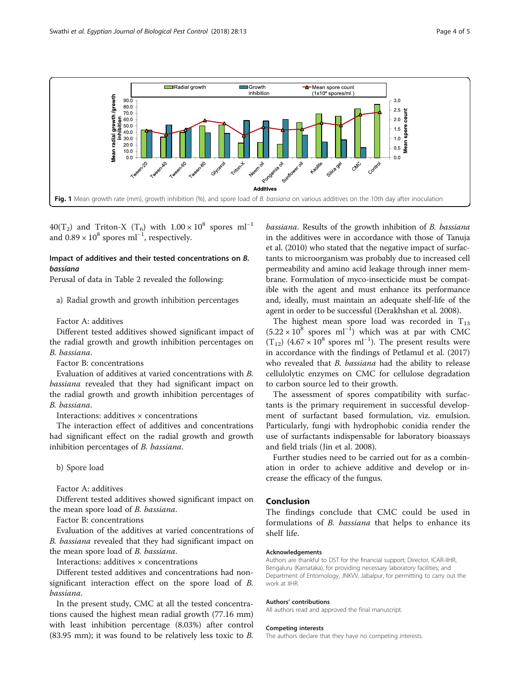<span id="page-3-0"></span>

40(T<sub>2</sub>) and Triton-X (T<sub>6</sub>) with  $1.00 \times 10^8$  spores ml<sup>-1</sup> and 0.89 ×  $10^8$  spores ml<sup>-1</sup>, respectively.

#### Impact of additives and their tested concentrations on B. bassiana

Perusal of data in Table [2](#page-2-0) revealed the following:

a) Radial growth and growth inhibition percentages

Factor A: additives

Different tested additives showed significant impact of the radial growth and growth inhibition percentages on B. bassiana.

Factor B: concentrations

Evaluation of additives at varied concentrations with B. bassiana revealed that they had significant impact on the radial growth and growth inhibition percentages of B. bassiana.

Interactions: additives × concentrations

The interaction effect of additives and concentrations had significant effect on the radial growth and growth inhibition percentages of B. bassiana.

b) Spore load

Factor A: additives

Different tested additives showed significant impact on the mean spore load of B. bassiana.

Factor B: concentrations

Evaluation of the additives at varied concentrations of B. bassiana revealed that they had significant impact on the mean spore load of B. bassiana.

Interactions: additives × concentrations

Different tested additives and concentrations had nonsignificant interaction effect on the spore load of B. bassiana.

In the present study, CMC at all the tested concentrations caused the highest mean radial growth (77.16 mm) with least inhibition percentage (8.03%) after control (83.95 mm); it was found to be relatively less toxic to B.

bassiana. Results of the growth inhibition of B. bassiana in the additives were in accordance with those of Tanuja et al. ([2010\)](#page-4-0) who stated that the negative impact of surfactants to microorganism was probably due to increased cell permeability and amino acid leakage through inner membrane. Formulation of myco-insecticide must be compatible with the agent and must enhance its performance and, ideally, must maintain an adequate shelf-life of the agent in order to be successful (Derakhshan et al. [2008](#page-4-0)).

The highest mean spore load was recorded in  $T_{13}$  $(5.22 \times 10^8$  spores ml<sup>-1</sup>) which was at par with CMC  $(T_{12})$  (4.67 × 10<sup>8</sup> spores ml<sup>-1</sup>). The present results were in accordance with the findings of Petlamul et al. ([2017](#page-4-0)) who revealed that *B. bassiana* had the ability to release cellulolytic enzymes on CMC for cellulose degradation to carbon source led to their growth.

The assessment of spores compatibility with surfactants is the primary requirement in successful development of surfactant based formulation, viz. emulsion. Particularly, fungi with hydrophobic conidia render the use of surfactants indispensable for laboratory bioassays and field trials (Jin et al. [2008](#page-4-0)).

Further studies need to be carried out for as a combination in order to achieve additive and develop or increase the efficacy of the fungus.

#### Conclusion

The findings conclude that CMC could be used in formulations of B. bassiana that helps to enhance its shelf life.

#### Acknowledgements

Authors are thankful to DST for the financial support; Director, ICAR-IIHR, Bengaluru (Karnataka), for providing necessary laboratory facilities; and Department of Entomology, JNKVV, Jabalpur, for permitting to carry out the work at IIHR.

#### Authors' contributions

All authors read and approved the final manuscript.

#### Competing interests

The authors declare that they have no competing interests.